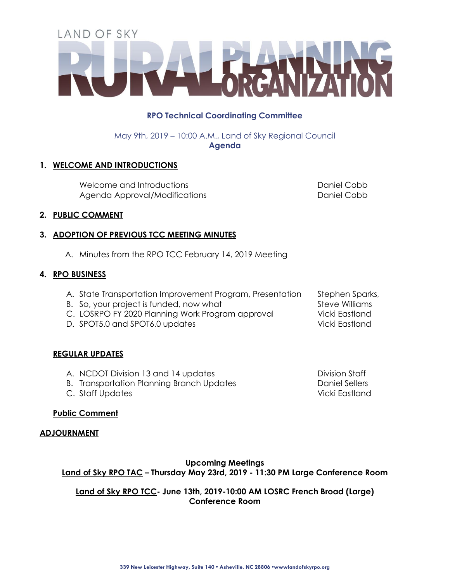# LAND OF SKY

# **RPO Technical Coordinating Committee**

May 9th, 2019 – 10:00 A.M., Land of Sky Regional Council **Agenda**

# **1. WELCOME AND INTRODUCTIONS**

Welcome and Introductions and all the cobb Daniel Cobb Daniel Cobb Agenda Approval/Modifications and all the Daniel Cobb

## **2. PUBLIC COMMENT**

## **3. ADOPTION OF PREVIOUS TCC MEETING MINUTES**

A. Minutes from the RPO TCC February 14, 2019 Meeting

## **4. RPO BUSINESS**

- A. State Transportation Improvement Program, Presentation Stephen Sparks,
- B. So, your project is funded, now what Steve Williams
- C. LOSRPO FY 2020 Planning Work Program approval Vicki Eastland
- D. SPOT5.0 and SPOT6.0 updates Vicki Eastland

# **REGULAR UPDATES**

- A. NCDOT Division 13 and 14 updates Division Staff
- B. Transportation Planning Branch Updates **Daniel Sellers** Daniel Sellers
- C. Staff Updates Vicki Eastland

**Public Comment**

#### **ADJOURNMENT**

# **Upcoming Meetings Land of Sky RPO TAC – Thursday May 23rd, 2019 - 11:30 PM Large Conference Room**

## **Land of Sky RPO TCC- June 13th, 2019-10:00 AM LOSRC French Broad (Large) Conference Room**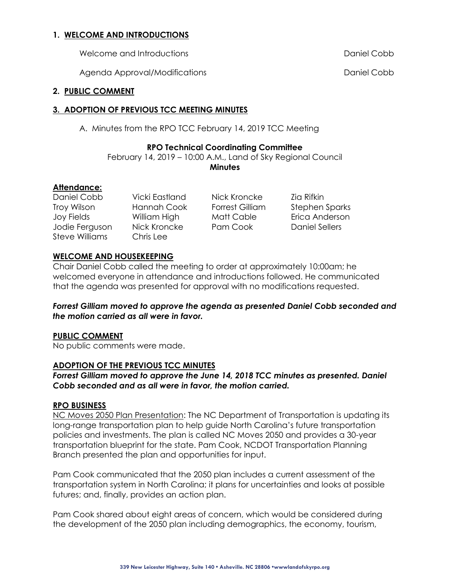## **1. WELCOME AND INTRODUCTIONS**

Welcome and Introductions Daniel Cobb

Agenda Approval/Modifications and a computer of the Daniel Cobb

#### **2. PUBLIC COMMENT**

#### **3. ADOPTION OF PREVIOUS TCC MEETING MINUTES**

A. Minutes from the RPO TCC February 14, 2019 TCC Meeting

## **RPO Technical Coordinating Committee**

February 14, 2019 – 10:00 A.M., Land of Sky Regional Council **Minutes**

## **Attendance:**

Daniel Cobb Vicki Eastland Nick Kroncke Zia Rifkin Steve Williams Chris Lee

Jodie Ferguson Nick Kroncke Pam Cook Daniel Sellers

Troy Wilson Hannah Cook Forrest Gilliam Stephen Sparks Joy Fields William High Matt Cable Erica Anderson

## **WELCOME AND HOUSEKEEPING**

Chair Daniel Cobb called the meeting to order at approximately 10:00am; he welcomed everyone in attendance and introductions followed. He communicated that the agenda was presented for approval with no modifications requested.

## *Forrest Gilliam moved to approve the agenda as presented Daniel Cobb seconded and the motion carried as all were in favor.*

#### **PUBLIC COMMENT**

No public comments were made.

## **ADOPTION OF THE PREVIOUS TCC MINUTES**

*Forrest Gilliam moved to approve the June 14, 2018 TCC minutes as presented. Daniel Cobb seconded and as all were in favor, the motion carried.*

#### **RPO BUSINESS**

NC Moves 2050 Plan Presentation: The NC Department of Transportation is updating its long-range transportation plan to help guide North Carolina's future transportation policies and investments. The plan is called NC Moves 2050 and provides a 30-year transportation blueprint for the state. Pam Cook, NCDOT Transportation Planning Branch presented the plan and opportunities for input.

Pam Cook communicated that the 2050 plan includes a current assessment of the transportation system in North Carolina; it plans for uncertainties and looks at possible futures; and, finally, provides an action plan.

Pam Cook shared about eight areas of concern, which would be considered during the development of the 2050 plan including demographics, the economy, tourism,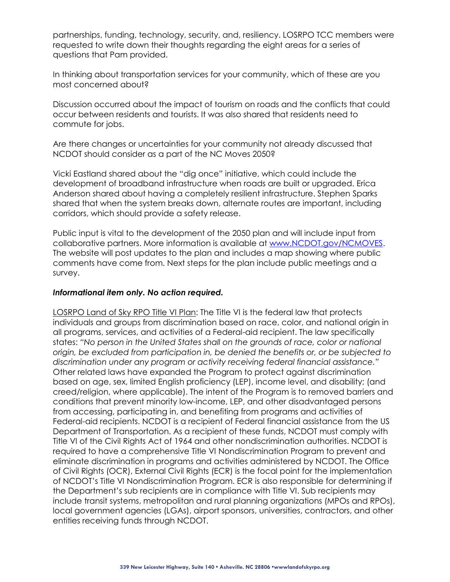partnerships, funding, technology, security, and, resiliency. LOSRPO TCC members were requested to write down their thoughts regarding the eight areas for a series of questions that Pam provided.

In thinking about transportation services for your community, which of these are you most concerned about?

Discussion occurred about the impact of tourism on roads and the conflicts that could occur between residents and tourists. It was also shared that residents need to commute for jobs.

Are there changes or uncertainties for your community not already discussed that NCDOT should consider as a part of the NC Moves 2050?

Vicki Eastland shared about the "dig once" initiative, which could include the development of broadband infrastructure when roads are built or upgraded. Erica Anderson shared about having a completely resilient infrastructure. Stephen Sparks shared that when the system breaks down, alternate routes are important, including corridors, which should provide a safety release.

Public input is vital to the development of the 2050 plan and will include input from collaborative partners. More information is available at [www.NCDOT.gov/NCMOVES.](http://www.ncdot.gov/NCMOVES) The website will post updates to the plan and includes a map showing where public comments have come from. Next steps for the plan include public meetings and a survey.

## *Informational item only. No action required.*

LOSRPO Land of Sky RPO Title VI Plan: The Title VI is the federal law that protects individuals and groups from discrimination based on race, color, and national origin in all programs, services, and activities of a Federal-aid recipient. The law specifically states: *"No person in the United States shall on the grounds of race, color or national origin, be excluded from participation in, be denied the benefits or, or be subjected to discrimination under any program or activity receiving federal financial assistance."* Other related laws have expanded the Program to protect against discrimination based on age, sex, limited English proficiency (LEP), income level, and disability; (and creed/religion, where applicable). The intent of the Program is to removed barriers and conditions that prevent minority low-income, LEP, and other disadvantaged persons from accessing, participating in, and benefiting from programs and activities of Federal-aid recipients. NCDOT is a recipient of Federal financial assistance from the US Department of Transportation. As a recipient of these funds, NCDOT must comply with Title VI of the Civil Rights Act of 1964 and other nondiscrimination authorities. NCDOT is required to have a comprehensive Title VI Nondiscrimination Program to prevent and eliminate discrimination in programs and activities administered by NCDOT. The Office of Civil Rights (OCR), External Civil Rights (ECR) is the focal point for the implementation of NCDOT's Title VI Nondiscrimination Program. ECR is also responsible for determining if the Department's sub recipients are in compliance with Title VI. Sub recipients may include transit systems, metropolitan and rural planning organizations (MPOs and RPOs), local government agencies (LGAs), airport sponsors, universities, contractors, and other entities receiving funds through NCDOT.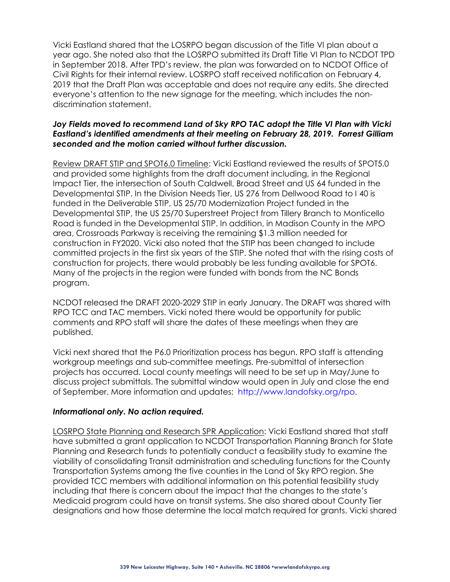Vicki Eastland shared that the LOSRPO began discussion of the Title VI plan about a year ago. She noted also that the LOSRPO submitted its Draft Title VI Plan to NCDOT TPD in September 2018. After TPD's review, the plan was forwarded on to NCDOT Office of Civil Rights for their internal review. LOSRPO staff received notification on February 4, 2019 that the Draft Plan was acceptable and does not require any edits. She directed everyone's attention to the new signage for the meeting, which includes the nondiscrimination statement.

## *Joy Fields moved to recommend Land of Sky RPO TAC adopt the Title VI Plan with Vicki Eastland's identified amendments at their meeting on February 28, 2019. Forrest Gilliam seconded and the motion carried without further discussion.*

Review DRAFT STIP and SPOT6.0 Timeline: Vicki Eastland reviewed the results of SPOT5.0 and provided some highlights from the draft document including, in the Regional Impact Tier, the intersection of South Caldwell, Broad Street and US 64 funded in the Developmental STIP. In the Division Needs Tier, US 276 from Dellwood Road to I 40 is funded in the Deliverable STIP, US 25/70 Modernization Project funded in the Developmental STIP, the US 25/70 Superstreet Project from Tillery Branch to Monticello Road is funded in the Developmental STIP. In addition, in Madison County in the MPO area, Crossroads Parkway is receiving the remaining \$1.3 million needed for construction in FY2020. Vicki also noted that the STIP has been changed to include committed projects in the first six years of the STIP. She noted that with the rising costs of construction for projects, there would probably be less funding available for SPOT6. Many of the projects in the region were funded with bonds from the NC Bonds program.

NCDOT released the DRAFT 2020-2029 STIP in early January. The DRAFT was shared with RPO TCC and TAC members. Vicki noted there would be opportunity for public comments and RPO staff will share the dates of these meetings when they are published.

Vicki next shared that the P6.0 Prioritization process has begun. RPO staff is attending workgroup meetings and sub-committee meetings. Pre-submittal of intersection projects has occurred. Local county meetings will need to be set up in May/June to discuss project submittals. The submittal window would open in July and close the end of September. More information and updates: http://www.landofsky.org/rpo.

#### *Informational only. No action required.*

LOSRPO State Planning and Research SPR Application: Vicki Eastland shared that staff have submitted a grant application to NCDOT Transportation Planning Branch for State Planning and Research funds to potentially conduct a feasibility study to examine the viability of consolidating Transit administration and scheduling functions for the County Transportation Systems among the five counties in the Land of Sky RPO region. She provided TCC members with additional information on this potential feasibility study including that there is concern about the impact that the changes to the state's Medicaid program could have on transit systems. She also shared about County Tier designations and how those determine the local match required for grants. Vicki shared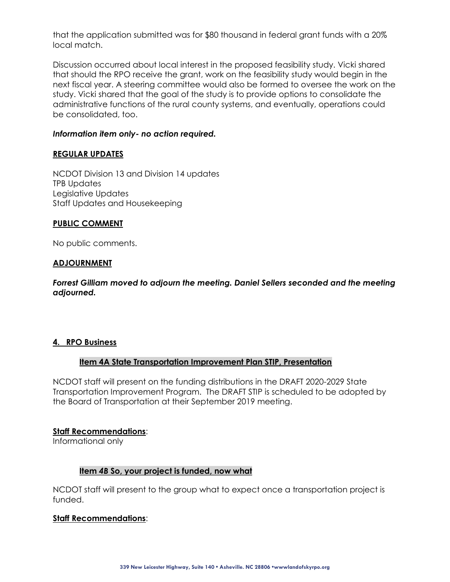that the application submitted was for \$80 thousand in federal grant funds with a 20% local match.

Discussion occurred about local interest in the proposed feasibility study. Vicki shared that should the RPO receive the grant, work on the feasibility study would begin in the next fiscal year. A steering committee would also be formed to oversee the work on the study. Vicki shared that the goal of the study is to provide options to consolidate the administrative functions of the rural county systems, and eventually, operations could be consolidated, too.

## *Information item only- no action required.*

#### **REGULAR UPDATES**

NCDOT Division 13 and Division 14 updates TPB Updates Legislative Updates Staff Updates and Housekeeping

#### **PUBLIC COMMENT**

No public comments.

#### **ADJOURNMENT**

*Forrest Gilliam moved to adjourn the meeting. Daniel Sellers seconded and the meeting adjourned.*

## **4. RPO Business**

## **Item 4A State Transportation Improvement Plan STIP, Presentation**

NCDOT staff will present on the funding distributions in the DRAFT 2020-2029 State Transportation Improvement Program. The DRAFT STIP is scheduled to be adopted by the Board of Transportation at their September 2019 meeting.

#### **Staff Recommendations**:

Informational only

## **Item** *4B* **So, your project is funded, now what**

NCDOT staff will present to the group what to expect once a transportation project is funded.

#### **Staff Recommendations**: